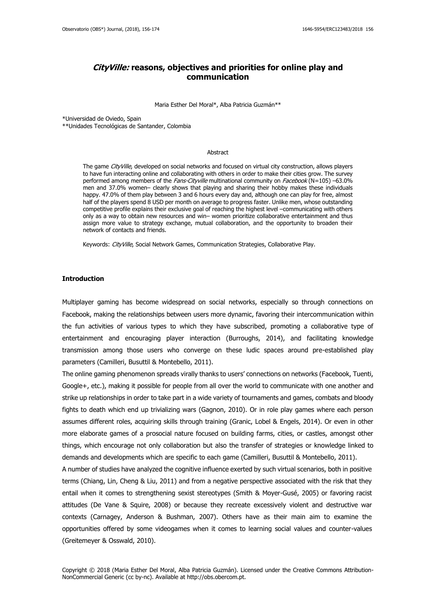# **CityVille: reasons, objectives and priorities for online play and communication**

Maria Esther Del Moral\*, Alba Patricia Guzmán\*\*

\*Universidad de Oviedo, Spain

\*\*Unidades Tecnológicas de Santander, Colombia

#### Abstract

The game CityVille, developed on social networks and focused on virtual city construction, allows players to have fun interacting online and collaborating with others in order to make their cities grow. The survey performed among members of the Fans-Cityville multinational community on Facebook (N=105) –63.0% men and 37.0% women– clearly shows that playing and sharing their hobby makes these individuals happy. 47.0% of them play between 3 and 6 hours every day and, although one can play for free, almost half of the players spend 8 USD per month on average to progress faster. Unlike men, whose outstanding competitive profile explains their exclusive goal of reaching the highest level –communicating with others only as a way to obtain new resources and win– women prioritize collaborative entertainment and thus assign more value to strategy exchange, mutual collaboration, and the opportunity to broaden their network of contacts and friends.

Keywords: CityVille, Social Network Games, Communication Strategies, Collaborative Play.

#### **Introduction**

Multiplayer gaming has become widespread on social networks, especially so through connections on Facebook, making the relationships between users more dynamic, favoring their intercommunication within the fun activities of various types to which they have subscribed, promoting a collaborative type of entertainment and encouraging player interaction (Burroughs, 2014), and facilitating knowledge transmission among those users who converge on these ludic spaces around pre-established play parameters (Camilleri, Busuttil & Montebello, 2011).

The online gaming phenomenon spreads virally thanks to users' connections on networks (Facebook, Tuenti, Google+, etc.), making it possible for people from all over the world to communicate with one another and strike up relationships in order to take part in a wide variety of tournaments and games, combats and bloody fights to death which end up trivializing wars (Gagnon, 2010). Or in role play games where each person assumes different roles, acquiring skills through training (Granic, Lobel & Engels, 2014). Or even in other more elaborate games of a prosocial nature focused on building farms, cities, or castles, amongst other things, which encourage not only collaboration but also the transfer of strategies or knowledge linked to demands and developments which are specific to each game (Camilleri, Busuttil & Montebello, 2011).

A number of studies have analyzed the cognitive influence exerted by such virtual scenarios, both in positive terms (Chiang, Lin, Cheng & Liu, 2011) and from a negative perspective associated with the risk that they entail when it comes to strengthening sexist stereotypes (Smith & Moyer-Gusé, 2005) or favoring racist attitudes (De Vane & Squire, 2008) or because they recreate excessively violent and destructive war contexts (Carnagey, Anderson & Bushman, 2007). Others have as their main aim to examine the opportunities offered by some videogames when it comes to learning social values and counter-values (Greitemeyer & Osswald, 2010).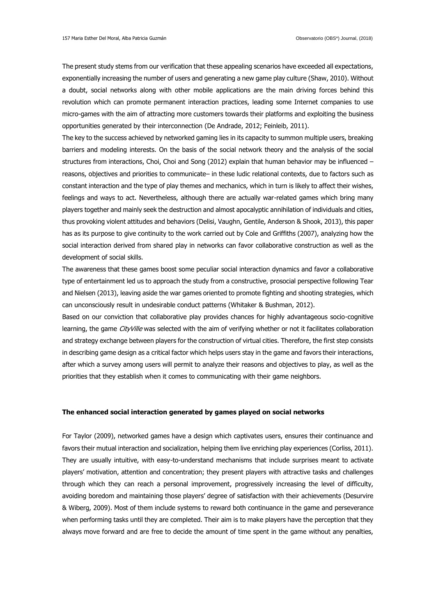The present study stems from our verification that these appealing scenarios have exceeded all expectations, exponentially increasing the number of users and generating a new game play culture (Shaw, 2010). Without a doubt, social networks along with other mobile applications are the main driving forces behind this revolution which can promote permanent interaction practices, leading some Internet companies to use micro-games with the aim of attracting more customers towards their platforms and exploiting the business opportunities generated by their interconnection (De Andrade, 2012; Feinleib, 2011).

The key to the success achieved by networked gaming lies in its capacity to summon multiple users, breaking barriers and modeling interests. On the basis of the social network theory and the analysis of the social structures from interactions, Choi, Choi and Song (2012) explain that human behavior may be influenced – reasons, objectives and priorities to communicate– in these ludic relational contexts, due to factors such as constant interaction and the type of play themes and mechanics, which in turn is likely to affect their wishes, feelings and ways to act. Nevertheless, although there are actually war-related games which bring many players together and mainly seek the destruction and almost apocalyptic annihilation of individuals and cities, thus provoking violent attitudes and behaviors (Delisi, Vaughn, Gentile, Anderson & Shook, 2013), this paper has as its purpose to give continuity to the work carried out by Cole and Griffiths (2007), analyzing how the social interaction derived from shared play in networks can favor collaborative construction as well as the development of social skills.

The awareness that these games boost some peculiar social interaction dynamics and favor a collaborative type of entertainment led us to approach the study from a constructive, prosocial perspective following Tear and Nielsen (2013), leaving aside the war games oriented to promote fighting and shooting strategies, which can unconsciously result in undesirable conduct patterns (Whitaker & Bushman, 2012).

Based on our conviction that collaborative play provides chances for highly advantageous socio-cognitive learning, the game CityVille was selected with the aim of verifying whether or not it facilitates collaboration and strategy exchange between players for the construction of virtual cities. Therefore, the first step consists in describing game design as a critical factor which helps users stay in the game and favors their interactions, after which a survey among users will permit to analyze their reasons and objectives to play, as well as the priorities that they establish when it comes to communicating with their game neighbors.

# **The enhanced social interaction generated by games played on social networks**

For Taylor (2009), networked games have a design which captivates users, ensures their continuance and favors their mutual interaction and socialization, helping them live enriching play experiences (Corliss, 2011). They are usually intuitive, with easy-to-understand mechanisms that include surprises meant to activate players' motivation, attention and concentration; they present players with attractive tasks and challenges through which they can reach a personal improvement, progressively increasing the level of difficulty, avoiding boredom and maintaining those players' degree of satisfaction with their achievements (Desurvire & Wiberg, 2009). Most of them include systems to reward both continuance in the game and perseverance when performing tasks until they are completed. Their aim is to make players have the perception that they always move forward and are free to decide the amount of time spent in the game without any penalties,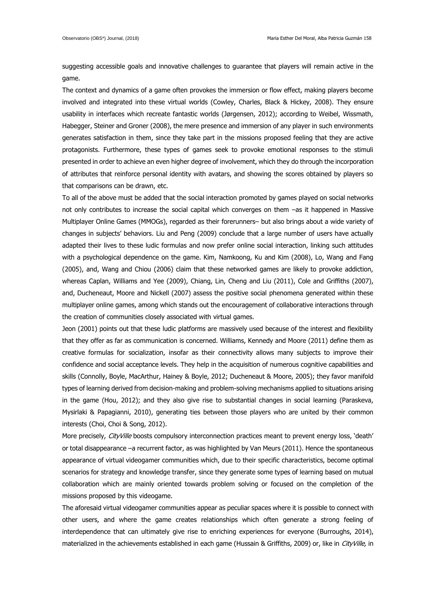suggesting accessible goals and innovative challenges to guarantee that players will remain active in the game.

The context and dynamics of a game often provokes the immersion or flow effect, making players become involved and integrated into these virtual worlds (Cowley, Charles, Black & Hickey, 2008). They ensure usability in interfaces which recreate fantastic worlds (Jørgensen, 2012); according to Weibel, Wissmath, Habegger, Steiner and Groner (2008), the mere presence and immersion of any player in such environments generates satisfaction in them, since they take part in the missions proposed feeling that they are active protagonists. Furthermore, these types of games seek to provoke emotional responses to the stimuli presented in order to achieve an even higher degree of involvement, which they do through the incorporation of attributes that reinforce personal identity with avatars, and showing the scores obtained by players so that comparisons can be drawn, etc.

To all of the above must be added that the social interaction promoted by games played on social networks not only contributes to increase the social capital which converges on them –as it happened in Massive Multiplayer Online Games (MMOGs), regarded as their forerunners– but also brings about a wide variety of changes in subjects' behaviors. Liu and Peng (2009) conclude that a large number of users have actually adapted their lives to these ludic formulas and now prefer online social interaction, linking such attitudes with a psychological dependence on the game. Kim, Namkoong, Ku and Kim (2008), Lo, Wang and Fang (2005), and, Wang and Chiou (2006) claim that these networked games are likely to provoke addiction, whereas Caplan, Williams and Yee (2009), Chiang, Lin, Cheng and Liu (2011), Cole and Griffiths (2007), and, Ducheneaut, Moore and Nickell (2007) assess the positive social phenomena generated within these multiplayer online games, among which stands out the encouragement of collaborative interactions through the creation of communities closely associated with virtual games.

Jeon (2001) points out that these ludic platforms are massively used because of the interest and flexibility that they offer as far as communication is concerned. Williams, Kennedy and Moore (2011) define them as creative formulas for socialization, insofar as their connectivity allows many subjects to improve their confidence and social acceptance levels. They help in the acquisition of numerous cognitive capabilities and skills (Connolly, Boyle, MacArthur, Hainey & Boyle, 2012; Ducheneaut & Moore, 2005); they favor manifold types of learning derived from decision-making and problem-solving mechanisms applied to situations arising in the game (Hou, 2012); and they also give rise to substantial changes in social learning (Paraskeva, Mysirlaki & Papagianni, 2010), generating ties between those players who are united by their common interests (Choi, Choi & Song, 2012).

More precisely, CityVille boosts compulsory interconnection practices meant to prevent energy loss, 'death' or total disappearance –a recurrent factor, as was highlighted by Van Meurs (2011). Hence the spontaneous appearance of virtual videogamer communities which, due to their specific characteristics, become optimal scenarios for strategy and knowledge transfer, since they generate some types of learning based on mutual collaboration which are mainly oriented towards problem solving or focused on the completion of the missions proposed by this videogame.

The aforesaid virtual videogamer communities appear as peculiar spaces where it is possible to connect with other users, and where the game creates relationships which often generate a strong feeling of interdependence that can ultimately give rise to enriching experiences for everyone (Burroughs, 2014), materialized in the achievements established in each game (Hussain & Griffiths, 2009) or, like in CityVille, in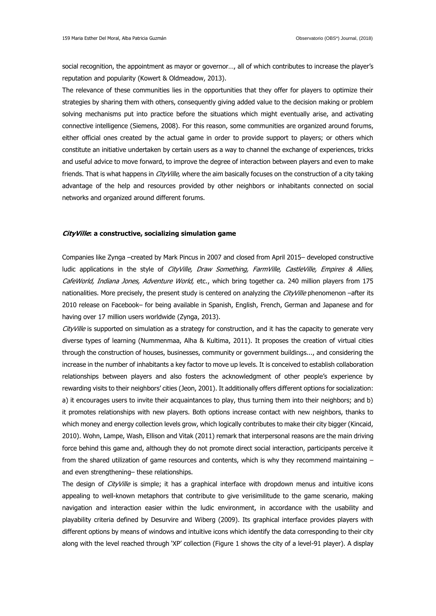social recognition, the appointment as mayor or governor…, all of which contributes to increase the player's reputation and popularity (Kowert & Oldmeadow, 2013).

The relevance of these communities lies in the opportunities that they offer for players to optimize their strategies by sharing them with others, consequently giving added value to the decision making or problem solving mechanisms put into practice before the situations which might eventually arise, and activating connective intelligence (Siemens, 2008). For this reason, some communities are organized around forums, either official ones created by the actual game in order to provide support to players; or others which constitute an initiative undertaken by certain users as a way to channel the exchange of experiences, tricks and useful advice to move forward, to improve the degree of interaction between players and even to make friends. That is what happens in *CityVille*, where the aim basically focuses on the construction of a city taking advantage of the help and resources provided by other neighbors or inhabitants connected on social networks and organized around different forums.

#### **CityVille: a constructive, socializing simulation game**

Companies like Zynga –created by Mark Pincus in 2007 and closed from April 2015– developed constructive ludic applications in the style of *CityVille, Draw Something, FarmVille, CastleVille, Empires & Allies,* CafeWorld, Indiana Jones, Adventure World, etc., which bring together ca. 240 million players from 175 nationalities. More precisely, the present study is centered on analyzing the CityVille phenomenon -after its 2010 release on Facebook– for being available in Spanish, English, French, German and Japanese and for having over 17 million users worldwide (Zynga, 2013).

CityVille is supported on simulation as a strategy for construction, and it has the capacity to generate very diverse types of learning (Nummenmaa, Alha & Kultima, 2011). It proposes the creation of virtual cities through the construction of houses, businesses, community or government buildings..., and considering the increase in the number of inhabitants a key factor to move up levels. It is conceived to establish collaboration relationships between players and also fosters the acknowledgment of other people's experience by rewarding visits to their neighbors' cities (Jeon, 2001). It additionally offers different options for socialization: a) it encourages users to invite their acquaintances to play, thus turning them into their neighbors; and b) it promotes relationships with new players. Both options increase contact with new neighbors, thanks to which money and energy collection levels grow, which logically contributes to make their city bigger (Kincaid, 2010). Wohn, Lampe, Wash, Ellison and Vitak (2011) remark that interpersonal reasons are the main driving force behind this game and, although they do not promote direct social interaction, participants perceive it from the shared utilization of game resources and contents, which is why they recommend maintaining – and even strengthening– these relationships.

The design of *CityVille* is simple; it has a graphical interface with dropdown menus and intuitive icons appealing to well-known metaphors that contribute to give verisimilitude to the game scenario, making navigation and interaction easier within the ludic environment, in accordance with the usability and playability criteria defined by Desurvire and Wiberg (2009). Its graphical interface provides players with different options by means of windows and intuitive icons which identify the data corresponding to their city along with the level reached through 'XP' collection (Figure 1 shows the city of a level-91 player). A display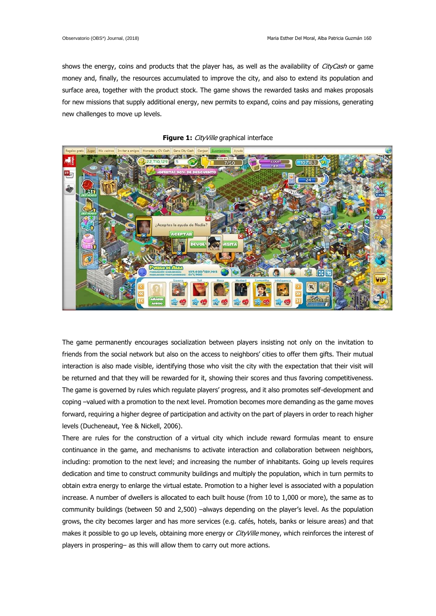shows the energy, coins and products that the player has, as well as the availability of CityCash or game money and, finally, the resources accumulated to improve the city, and also to extend its population and surface area, together with the product stock. The game shows the rewarded tasks and makes proposals for new missions that supply additional energy, new permits to expand, coins and pay missions, generating new challenges to move up levels.





The game permanently encourages socialization between players insisting not only on the invitation to friends from the social network but also on the access to neighbors' cities to offer them gifts. Their mutual interaction is also made visible, identifying those who visit the city with the expectation that their visit will be returned and that they will be rewarded for it, showing their scores and thus favoring competitiveness. The game is governed by rules which regulate players' progress, and it also promotes self-development and coping –valued with a promotion to the next level. Promotion becomes more demanding as the game moves forward, requiring a higher degree of participation and activity on the part of players in order to reach higher levels (Ducheneaut, Yee & Nickell, 2006).

There are rules for the construction of a virtual city which include reward formulas meant to ensure continuance in the game, and mechanisms to activate interaction and collaboration between neighbors, including: promotion to the next level; and increasing the number of inhabitants. Going up levels requires dedication and time to construct community buildings and multiply the population, which in turn permits to obtain extra energy to enlarge the virtual estate. Promotion to a higher level is associated with a population increase. A number of dwellers is allocated to each built house (from 10 to 1,000 or more), the same as to community buildings (between 50 and 2,500) –always depending on the player's level. As the population grows, the city becomes larger and has more services (e.g. cafés, hotels, banks or leisure areas) and that makes it possible to go up levels, obtaining more energy or *CityVille* money, which reinforces the interest of players in prospering– as this will allow them to carry out more actions.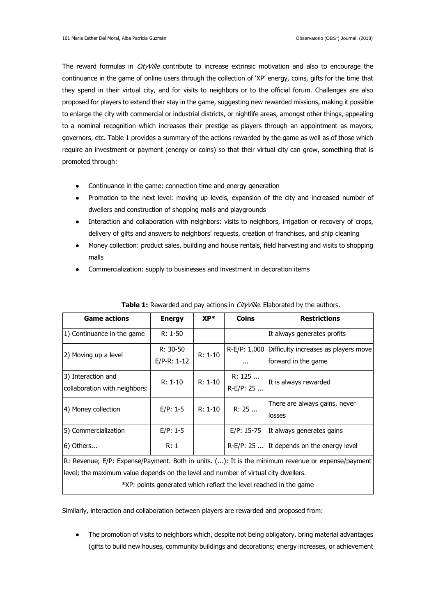The reward formulas in *CityVille* contribute to increase extrinsic motivation and also to encourage the continuance in the game of online users through the collection of 'XP' energy, coins, gifts for the time that they spend in their virtual city, and for visits to neighbors or to the official forum. Challenges are also proposed for players to extend their stay in the game, suggesting new rewarded missions, making it possible to enlarge the city with commercial or industrial districts, or nightlife areas, amongst other things, appealing to a nominal recognition which increases their prestige as players through an appointment as mayors, governors, etc. Table 1 provides a summary of the actions rewarded by the game as well as of those which require an investment or payment (energy or coins) so that their virtual city can grow, something that is promoted through:

- Continuance in the game: connection time and energy generation
- Promotion to the next level: moving up levels, expansion of the city and increased number of dwellers and construction of shopping malls and playgrounds
- Interaction and collaboration with neighbors: visits to neighbors, irrigation or recovery of crops, delivery of gifts and answers to neighbors' requests, creation of franchises, and ship cleaning
- Money collection: product sales, building and house rentals, field harvesting and visits to shopping malls
- Commercialization: supply to businesses and investment in decoration items

| <b>Game actions</b>                                                                | <b>Energy</b> | $XP^*$    | <b>Coins</b> | <b>Restrictions</b>                                                                               |
|------------------------------------------------------------------------------------|---------------|-----------|--------------|---------------------------------------------------------------------------------------------------|
| 1) Continuance in the game                                                         | $R: 1-50$     |           |              | It always generates profits                                                                       |
|                                                                                    | R: 30-50      |           | R-E/P: 1,000 | Difficulty increases as players move                                                              |
| 2) Moving up a level                                                               | $E/P-R: 1-12$ | $R: 1-10$ | $\cdots$     | forward in the game                                                                               |
| 3) Interaction and                                                                 |               |           | R: 125       |                                                                                                   |
| collaboration with neighbors:                                                      | $R: 1-10$     | $R: 1-10$ | R-E/P: 25    | It is always rewarded                                                                             |
|                                                                                    |               | R: 1-10   |              | There are always gains, never                                                                     |
| 4) Money collection                                                                | $E/P: 1-5$    |           | R: 25        | losses                                                                                            |
| 5) Commercialization                                                               | $E/P: 1-5$    |           | $E/P: 15-75$ | It always generates gains                                                                         |
| 6) Others                                                                          | R:1           |           |              | $R-E/P$ : 25  It depends on the energy level                                                      |
|                                                                                    |               |           |              | R: Revenue; E/P: Expense/Payment. Both in units. (): It is the minimum revenue or expense/payment |
| level; the maximum value depends on the level and number of virtual city dwellers. |               |           |              |                                                                                                   |

**Table 1:** Rewarded and pay actions in *CityVille.* Elaborated by the authors.

\*XP: points generated which reflect the level reached in the game

Similarly, interaction and collaboration between players are rewarded and proposed from:

• The promotion of visits to neighbors which, despite not being obligatory, bring material advantages (gifts to build new houses, community buildings and decorations; energy increases, or achievement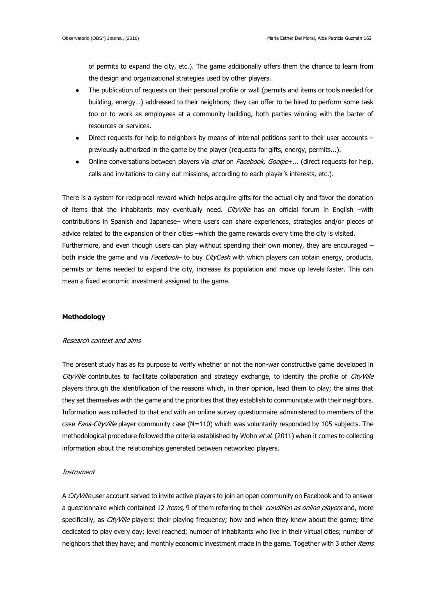of permits to expand the city, etc.). The game additionally offers them the chance to learn from the design and organizational strategies used by other players.

- The publication of requests on their personal profile or wall (permits and items or tools needed for building, energy…) addressed to their neighbors; they can offer to be hired to perform some task too or to work as employees at a community building, both parties winning with the barter of resources or services.
- Direct requests for help to neighbors by means of internal petitions sent to their user accounts previously authorized in the game by the player (requests for gifts, energy, permits...).
- Online conversations between players via *chat* on *Facebook, Google*+... (direct requests for help, calls and invitations to carry out missions, according to each player's interests, etc.).

There is a system for reciprocal reward which helps acquire gifts for the actual city and favor the donation of items that the inhabitants may eventually need. CityVille has an official forum in English -with contributions in Spanish and Japanese– where users can share experiences, strategies and/or pieces of advice related to the expansion of their cities –which the game rewards every time the city is visited. Furthermore, and even though users can play without spending their own money, they are encouraged – both inside the game and via Facebook- to buy CityCash with which players can obtain energy, products, permits or items needed to expand the city, increase its population and move up levels faster. This can mean a fixed economic investment assigned to the game.

# **Methodology**

#### Research context and aims

The present study has as its purpose to verify whether or not the non-war constructive game developed in CityVille contributes to facilitate collaboration and strategy exchange, to identify the profile of CityVille players through the identification of the reasons which, in their opinion, lead them to play; the aims that they set themselves with the game and the priorities that they establish to communicate with their neighbors. Information was collected to that end with an online survey questionnaire administered to members of the case Fans-CityVille player community case (N=110) which was voluntarily responded by 105 subjects. The methodological procedure followed the criteria established by Wohn et al. (2011) when it comes to collecting information about the relationships generated between networked players.

#### **Instrument**

A CityVille user account served to invite active players to join an open community on Facebook and to answer a questionnaire which contained 12 items, 9 of them referring to their *condition as online players* and, more specifically, as *CityVille* players: their playing frequency; how and when they knew about the game; time dedicated to play every day; level reached; number of inhabitants who live in their virtual cities; number of neighbors that they have; and monthly economic investment made in the game. Together with 3 other *items*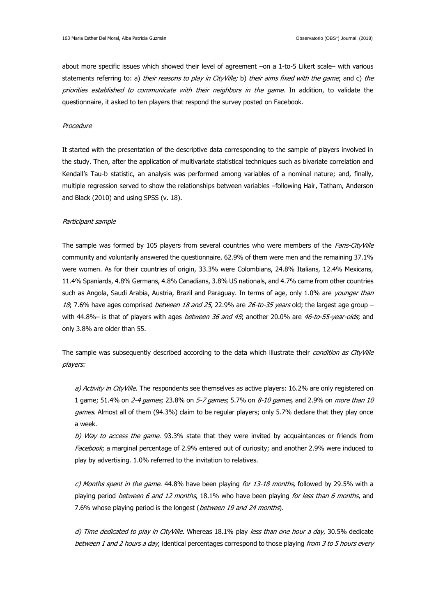about more specific issues which showed their level of agreement -on a 1-to-5 Likert scale- with various statements referring to: a) their reasons to play in CityVille; b) their aims fixed with the game; and c) the priorities established to communicate with their neighbors in the game. In addition, to validate the questionnaire, it asked to ten players that respond the survey posted on Facebook.

# Procedure

It started with the presentation of the descriptive data corresponding to the sample of players involved in the study. Then, after the application of multivariate statistical techniques such as bivariate correlation and Kendall's Tau-b statistic, an analysis was performed among variables of a nominal nature; and, finally, multiple regression served to show the relationships between variables –following Hair, Tatham, Anderson and Black (2010) and using SPSS (v. 18).

#### Participant sample

The sample was formed by 105 players from several countries who were members of the Fans-CityVille community and voluntarily answered the questionnaire. 62.9% of them were men and the remaining 37.1% were women. As for their countries of origin, 33.3% were Colombians, 24.8% Italians, 12.4% Mexicans, 11.4% Spaniards, 4.8% Germans, 4.8% Canadians, 3.8% US nationals, and 4.7% came from other countries such as Angola, Saudi Arabia, Austria, Brazil and Paraguay. In terms of age, only 1.0% are *younger than* 18; 7.6% have ages comprised *between 18 and 25*, 22.9% are 26-to-35 years old; the largest age group with 44.8%- is that of players with ages *between 36 and 45*; another 20.0% are 46-to-55-year-olds; and only 3.8% are older than 55.

The sample was subsequently described according to the data which illustrate their condition as CityVille players:

a) Activity in CityVille. The respondents see themselves as active players: 16.2% are only registered on 1 game; 51.4% on 2-4 games; 23.8% on 5-7 games; 5.7% on 8-10 games, and 2.9% on more than 10 games. Almost all of them (94.3%) claim to be regular players; only 5.7% declare that they play once a week.

b) Way to access the game. 93.3% state that they were invited by acquaintances or friends from Facebook; a marginal percentage of 2.9% entered out of curiosity; and another 2.9% were induced to play by advertising. 1.0% referred to the invitation to relatives.

c) Months spent in the game. 44.8% have been playing for 13-18 months, followed by 29.5% with a playing period between 6 and 12 months, 18.1% who have been playing for less than 6 months, and 7.6% whose playing period is the longest (between 19 and 24 months).

d) Time dedicated to play in CityVille. Whereas 18.1% play less than one hour a day, 30.5% dedicate between 1 and 2 hours a day; identical percentages correspond to those playing from 3 to 5 hours every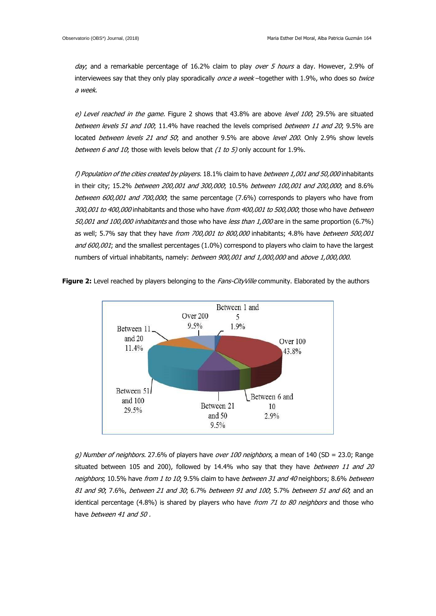day; and a remarkable percentage of 16.2% claim to play over 5 hours a day. However, 2.9% of interviewees say that they only play sporadically once a week-together with 1.9%, who does so twice a week.

e) Level reached in the game. Figure 2 shows that  $43.8\%$  are above level 100; 29.5% are situated between levels 51 and 100; 11.4% have reached the levels comprised between 11 and 20; 9.5% are located between levels 21 and 50; and another 9.5% are above level 200. Only 2.9% show levels between 6 and 10; those with levels below that  $(1 to 5)$  only account for 1.9%.

f) Population of the cities created by players. 18.1% claim to have between 1,001 and 50,000 inhabitants in their city; 15.2% between 200,001 and 300,000; 10.5% between 100,001 and 200,000; and 8.6% between 600,001 and 700,000; the same percentage (7.6%) corresponds to players who have from 300,001 to 400,000 inhabitants and those who have from 400,001 to 500,000; those who have between 50,001 and 100,000 inhabitants and those who have less than 1,000 are in the same proportion (6.7%) as well; 5.7% say that they have from 700,001 to 800,000 inhabitants; 4.8% have between 500,001 and 600,001; and the smallest percentages (1.0%) correspond to players who claim to have the largest numbers of virtual inhabitants, namely: between 900,001 and 1,000,000 and above 1,000,000.

**Figure 2:** Level reached by players belonging to the *Fans-CityVille* community. Elaborated by the authors



g) Number of neighbors. 27.6% of players have over 100 neighbors, a mean of 140 (SD = 23.0; Range situated between 105 and 200), followed by 14.4% who say that they have between 11 and 20 neighbors; 10.5% have from 1 to 10; 9.5% claim to have between 31 and 40 neighbors; 8.6% between 81 and 90; 7.6%, between 21 and 30; 6.7% between 91 and 100; 5.7% between 51 and 60; and an identical percentage  $(4.8\%)$  is shared by players who have *from 71 to 80 neighbors* and those who have between 41 and 50.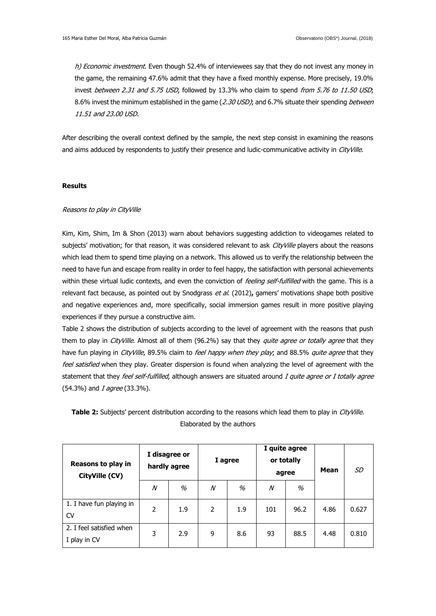h) Economic investment. Even though 52.4% of interviewees say that they do not invest any money in the game, the remaining 47.6% admit that they have a fixed monthly expense. More precisely, 19.0% invest between 2.31 and 5.75 USD, followed by 13.3% who claim to spend from 5.76 to 11.50 USD; 8.6% invest the minimum established in the game (2.30 USD); and 6.7% situate their spending between 11.51 and 23.00 USD.

After describing the overall context defined by the sample, the next step consist in examining the reasons and aims adduced by respondents to justify their presence and ludic-communicative activity in CityVille.

#### **Results**

## Reasons to play in CityVille

Kim, Kim, Shim, Im & Shon (2013) warn about behaviors suggesting addiction to videogames related to subjects' motivation; for that reason, it was considered relevant to ask CityVille players about the reasons which lead them to spend time playing on a network. This allowed us to verify the relationship between the need to have fun and escape from reality in order to feel happy, the satisfaction with personal achievements within these virtual ludic contexts, and even the conviction of *feeling self-fulfilled* with the game. This is a relevant fact because, as pointed out by Snodgrass et al. (2012)**,** gamers' motivations shape both positive and negative experiences and, more specifically, social immersion games result in more positive playing experiences if they pursue a constructive aim.

Table 2 shows the distribution of subjects according to the level of agreement with the reasons that push them to play in *CityVille*. Almost all of them (96.2%) say that they *quite agree or totally agree* that they have fun playing in *CityVille*, 89.5% claim to *feel happy when they play*; and 88.5% quite agree that they feel satisfied when they play. Greater dispersion is found when analyzing the level of agreement with the statement that they feel self-fulfilled, although answers are situated around I quite agree or I totally agree (54.3%) and *I agree* (33.3%).

| Reasons to play in<br>CityVille (CV)     | I disagree or<br>hardly agree |     | I agree |     | I quite agree<br>or totally<br>agree |      | <b>Mean</b> | SD    |
|------------------------------------------|-------------------------------|-----|---------|-----|--------------------------------------|------|-------------|-------|
|                                          | N                             | %   | N       | %   | $\mathcal N$                         | %    |             |       |
| 1. I have fun playing in<br><b>CV</b>    | 2                             | 1.9 | 2       | 1.9 | 101                                  | 96.2 | 4.86        | 0.627 |
| 2. I feel satisfied when<br>I play in CV | 3                             | 2.9 | 9       | 8.6 | 93                                   | 88.5 | 4.48        | 0.810 |

**Table 2:** Subjects' percent distribution according to the reasons which lead them to play in *CityVille.* Elaborated by the authors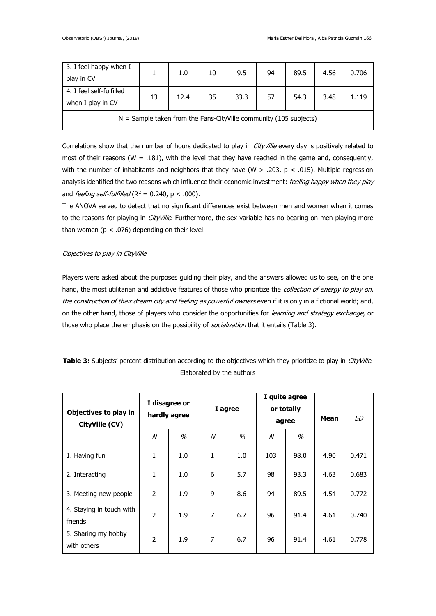| 3. I feel happy when I                                              |    | 1.0  | 10 | 9.5  | 94 | 89.5 | 4.56 | 0.706 |
|---------------------------------------------------------------------|----|------|----|------|----|------|------|-------|
| play in CV                                                          |    |      |    |      |    |      |      |       |
| 4. I feel self-fulfilled                                            | 13 | 12.4 | 35 | 33.3 | 57 | 54.3 | 3.48 | 1.119 |
| when I play in CV                                                   |    |      |    |      |    |      |      |       |
| $N =$ Sample taken from the Fans-CityVille community (105 subjects) |    |      |    |      |    |      |      |       |

Correlations show that the number of hours dedicated to play in *CityVille* every day is positively related to most of their reasons (W = .181), with the level that they have reached in the game and, consequently, with the number of inhabitants and neighbors that they have (W  $>$  .203, p < .015). Multiple regression analysis identified the two reasons which influence their economic investment: feeling happy when they play and *feeling self-fulfilled* ( $R^2 = 0.240$ ,  $p < .000$ ).

The ANOVA served to detect that no significant differences exist between men and women when it comes to the reasons for playing in *CityVille*. Furthermore, the sex variable has no bearing on men playing more than women ( $p < .076$ ) depending on their level.

# Objectives to play in CityVille

Players were asked about the purposes guiding their play, and the answers allowed us to see, on the one hand, the most utilitarian and addictive features of those who prioritize the collection of energy to play on, the construction of their dream city and feeling as powerful owners even if it is only in a fictional world; and, on the other hand, those of players who consider the opportunities for learning and strategy exchange, or those who place the emphasis on the possibility of *socialization* that it entails (Table 3).

**Table 3:** Subjects' percent distribution according to the objectives which they prioritize to play in *CityVille.* Elaborated by the authors

| Objectives to play in<br>CityVille (CV) | I disagree or<br>hardly agree |     | I agree                    |     | I quite agree<br>or totally<br>agree |      | Mean | SD    |
|-----------------------------------------|-------------------------------|-----|----------------------------|-----|--------------------------------------|------|------|-------|
|                                         | $\boldsymbol{\mathcal{N}}$    | %   | $\boldsymbol{\mathcal{N}}$ | %   | $\boldsymbol{\mathcal{N}}$           | $\%$ |      |       |
| 1. Having fun                           | 1                             | 1.0 | 1                          | 1.0 | 103                                  | 98.0 | 4.90 | 0.471 |
| 2. Interacting                          | 1                             | 1.0 | 6                          | 5.7 | 98                                   | 93.3 | 4.63 | 0.683 |
| 3. Meeting new people                   | $\overline{2}$                | 1.9 | 9                          | 8.6 | 94                                   | 89.5 | 4.54 | 0.772 |
| 4. Staying in touch with<br>friends     | 2                             | 1.9 | 7                          | 6.7 | 96                                   | 91.4 | 4.61 | 0.740 |
| 5. Sharing my hobby<br>with others      | 2                             | 1.9 | 7                          | 6.7 | 96                                   | 91.4 | 4.61 | 0.778 |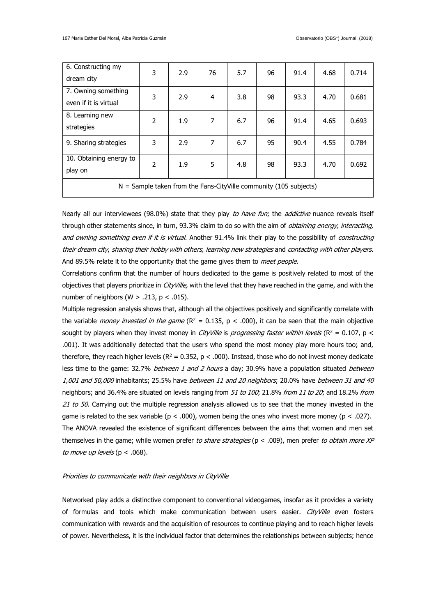| 6. Constructing my<br>dream city                                    | 3 | 2.9 | 76 | 5.7 | 96 | 91.4 | 4.68 | 0.714 |
|---------------------------------------------------------------------|---|-----|----|-----|----|------|------|-------|
| 7. Owning something<br>even if it is virtual                        | 3 | 2.9 | 4  | 3.8 | 98 | 93.3 | 4.70 | 0.681 |
| 8. Learning new<br>strategies                                       | 2 | 1.9 | 7  | 6.7 | 96 | 91.4 | 4.65 | 0.693 |
| 9. Sharing strategies                                               | 3 | 2.9 | 7  | 6.7 | 95 | 90.4 | 4.55 | 0.784 |
| 10. Obtaining energy to<br>play on                                  | 2 | 1.9 | 5  | 4.8 | 98 | 93.3 | 4.70 | 0.692 |
| $N =$ Sample taken from the Fans-CityVille community (105 subjects) |   |     |    |     |    |      |      |       |

Nearly all our interviewees (98.0%) state that they play to have fun; the addictive nuance reveals itself through other statements since, in turn, 93.3% claim to do so with the aim of *obtaining energy, interacting*, and owning something even if it is virtual. Another 91.4% link their play to the possibility of constructing their dream city, sharing their hobby with others, learning new strategies and contacting with other players. And 89.5% relate it to the opportunity that the game gives them to meet people.

Correlations confirm that the number of hours dedicated to the game is positively related to most of the objectives that players prioritize in *CityVille*, with the level that they have reached in the game, and with the number of neighbors (W  $> .213$ , p  $< .015$ ).

Multiple regression analysis shows that, although all the objectives positively and significantly correlate with the variable *money invested in the game* ( $R^2 = 0.135$ ,  $p < .000$ ), it can be seen that the main objective sought by players when they invest money in *CityVille* is *progressing faster within levels* ( $R^2 = 0.107$ ,  $p <$ .001). It was additionally detected that the users who spend the most money play more hours too; and, therefore, they reach higher levels ( $R^2 = 0.352$ ,  $p < .000$ ). Instead, those who do not invest money dedicate less time to the game: 32.7% *between 1 and 2 hours* a day; 30.9% have a population situated *between* 1,001 and 50,000 inhabitants; 25.5% have between 11 and 20 neighbors; 20.0% have between 31 and 40 neighbors; and 36.4% are situated on levels ranging from 51 to 100; 21.8% from 11 to 20; and 18.2% from 21 to 50. Carrying out the multiple regression analysis allowed us to see that the money invested in the game is related to the sex variable ( $p < .000$ ), women being the ones who invest more money ( $p < .027$ ). The ANOVA revealed the existence of significant differences between the aims that women and men set themselves in the game; while women prefer to share strategies ( $p < .009$ ), men prefer to obtain more XP to move up levels ( $p < .068$ ).

#### Priorities to communicate with their neighbors in CityVille

Networked play adds a distinctive component to conventional videogames, insofar as it provides a variety of formulas and tools which make communication between users easier. CityVille even fosters communication with rewards and the acquisition of resources to continue playing and to reach higher levels of power. Nevertheless, it is the individual factor that determines the relationships between subjects; hence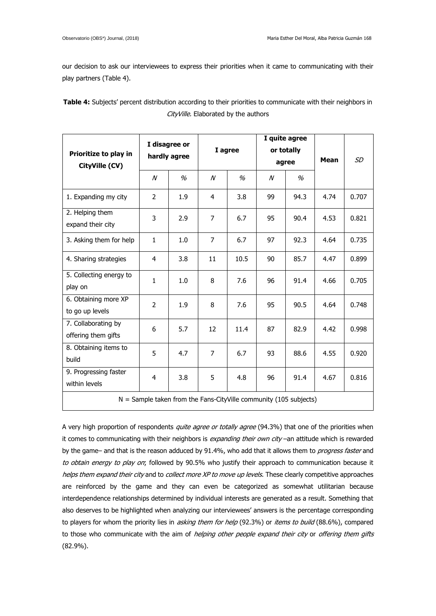our decision to ask our interviewees to express their priorities when it came to communicating with their play partners (Table 4).

| <b>Table 4:</b> Subjects' percent distribution according to their priorities to communicate with their neighbors in |                                      |  |  |
|---------------------------------------------------------------------------------------------------------------------|--------------------------------------|--|--|
|                                                                                                                     | CityVille. Elaborated by the authors |  |  |

|                                                                     | I disagree or  |              |                |         |                  | I quite agree |      |       |  |
|---------------------------------------------------------------------|----------------|--------------|----------------|---------|------------------|---------------|------|-------|--|
| Prioritize to play in                                               |                | hardly agree |                | I agree |                  | or totally    |      |       |  |
| CityVille (CV)                                                      |                |              |                |         | agree            |               | Mean | SD    |  |
|                                                                     | $\overline{N}$ | %            | $\overline{N}$ | %       | $\boldsymbol{N}$ | $\%$          |      |       |  |
| 1. Expanding my city                                                | $\overline{2}$ | 1.9          | 4              | 3.8     | 99               | 94.3          | 4.74 | 0.707 |  |
| 2. Helping them<br>expand their city                                | 3              | 2.9          | $\overline{7}$ | 6.7     | 95               | 90.4          | 4.53 | 0.821 |  |
| 3. Asking them for help                                             | 1              | 1.0          | $\overline{7}$ | 6.7     | 97               | 92.3          | 4.64 | 0.735 |  |
| 4. Sharing strategies                                               | 4              | 3.8          | 11             | 10.5    | 90               | 85.7          | 4.47 | 0.899 |  |
| 5. Collecting energy to<br>play on                                  | $\mathbf{1}$   | 1.0          | 8              | 7.6     | 96               | 91.4          | 4.66 | 0.705 |  |
| 6. Obtaining more XP<br>to go up levels                             | $\overline{2}$ | 1.9          | 8              | 7.6     | 95               | 90.5          | 4.64 | 0.748 |  |
| 7. Collaborating by<br>offering them gifts                          | 6              | 5.7          | 12             | 11.4    | 87               | 82.9          | 4.42 | 0.998 |  |
| 8. Obtaining items to<br>build                                      | 5              | 4.7          | $\overline{7}$ | 6.7     | 93               | 88.6          | 4.55 | 0.920 |  |
| 9. Progressing faster<br>within levels                              | 4              | 3.8          | 5              | 4.8     | 96               | 91.4          | 4.67 | 0.816 |  |
| $N =$ Sample taken from the Fans-CityVille community (105 subjects) |                |              |                |         |                  |               |      |       |  |

A very high proportion of respondents quite agree or totally agree (94.3%) that one of the priorities when it comes to communicating with their neighbors is *expanding their own city* –an attitude which is rewarded by the game- and that is the reason adduced by 91.4%, who add that it allows them to progress faster and to obtain energy to play on; followed by 90.5% who justify their approach to communication because it helps them expand their city and to collect more XP to move up levels. These clearly competitive approaches are reinforced by the game and they can even be categorized as somewhat utilitarian because interdependence relationships determined by individual interests are generated as a result. Something that also deserves to be highlighted when analyzing our interviewees' answers is the percentage corresponding to players for whom the priority lies in *asking them for help* (92.3%) or *items to build* (88.6%), compared to those who communicate with the aim of helping other people expand their city or offering them gifts (82.9%).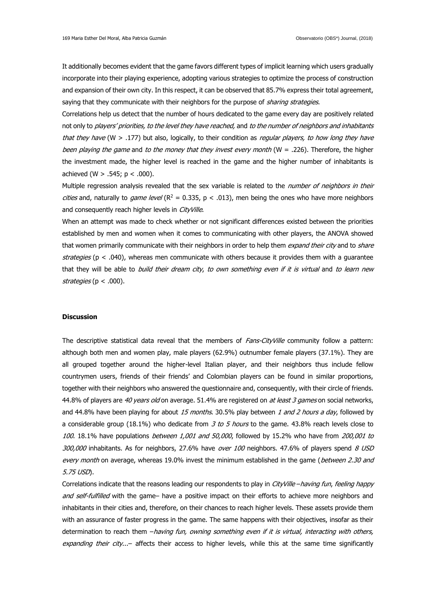It additionally becomes evident that the game favors different types of implicit learning which users gradually incorporate into their playing experience, adopting various strategies to optimize the process of construction and expansion of their own city. In this respect, it can be observed that 85.7% express their total agreement, saying that they communicate with their neighbors for the purpose of *sharing strategies*.

Correlations help us detect that the number of hours dedicated to the game every day are positively related not only to players' priorities, to the level they have reached, and to the number of neighbors and inhabitants that they have (W  $>$  .177) but also, logically, to their condition as *regular players, to how long they have* been playing the game and to the money that they invest every month ( $W = .226$ ). Therefore, the higher the investment made, the higher level is reached in the game and the higher number of inhabitants is achieved (W  $> .545$ ; p  $< .000$ ).

Multiple regression analysis revealed that the sex variable is related to the number of neighbors in their *cities* and, naturally to *game level* ( $R^2 = 0.335$ ,  $p < .013$ ), men being the ones who have more neighbors and consequently reach higher levels in CityVille.

When an attempt was made to check whether or not significant differences existed between the priorities established by men and women when it comes to communicating with other players, the ANOVA showed that women primarily communicate with their neighbors in order to help them *expand their city* and to *share* strategies ( $p < .040$ ), whereas men communicate with others because it provides them with a guarantee that they will be able to *build their dream city, to own something even if it is virtual* and to learn new strategies ( $p < .000$ ).

# **Discussion**

The descriptive statistical data reveal that the members of Fans-CityVille community follow a pattern: although both men and women play, male players (62.9%) outnumber female players (37.1%). They are all grouped together around the higher-level Italian player, and their neighbors thus include fellow countrymen users, friends of their friends' and Colombian players can be found in similar proportions, together with their neighbors who answered the questionnaire and, consequently, with their circle of friends. 44.8% of players are 40 years old on average. 51.4% are registered on at least 3 games on social networks, and 44.8% have been playing for about 15 months. 30.5% play between 1 and 2 hours a day, followed by a considerable group (18.1%) who dedicate from 3 to 5 hours to the game. 43.8% reach levels close to 100. 18.1% have populations between 1,001 and 50,000, followed by 15.2% who have from 200,001 to 300,000 inhabitants. As for neighbors, 27.6% have over 100 neighbors. 47.6% of players spend 8 USD every month on average, whereas 19.0% invest the minimum established in the game (between 2.30 and 5.75 USD).

Correlations indicate that the reasons leading our respondents to play in CityVille -having fun, feeling happy and self-fulfilled with the game- have a positive impact on their efforts to achieve more neighbors and inhabitants in their cities and, therefore, on their chances to reach higher levels. These assets provide them with an assurance of faster progress in the game. The same happens with their objectives, insofar as their determination to reach them -having fun, owning something even if it is virtual, interacting with others, expanding their city...- affects their access to higher levels, while this at the same time significantly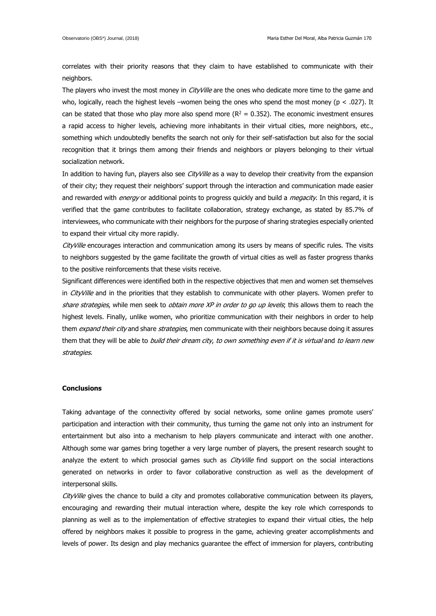correlates with their priority reasons that they claim to have established to communicate with their neighbors.

The players who invest the most money in *CityVille* are the ones who dedicate more time to the game and who, logically, reach the highest levels –women being the ones who spend the most money (p < .027). It can be stated that those who play more also spend more ( $R^2 = 0.352$ ). The economic investment ensures a rapid access to higher levels, achieving more inhabitants in their virtual cities, more neighbors, etc., something which undoubtedly benefits the search not only for their self-satisfaction but also for the social recognition that it brings them among their friends and neighbors or players belonging to their virtual socialization network.

In addition to having fun, players also see *CityVille* as a way to develop their creativity from the expansion of their city; they request their neighbors' support through the interaction and communication made easier and rewarded with *energy* or additional points to progress quickly and build a *megacity*. In this regard, it is verified that the game contributes to facilitate collaboration, strategy exchange, as stated by 85.7% of interviewees, who communicate with their neighbors for the purpose of sharing strategies especially oriented to expand their virtual city more rapidly.

CityVille encourages interaction and communication among its users by means of specific rules. The visits to neighbors suggested by the game facilitate the growth of virtual cities as well as faster progress thanks to the positive reinforcements that these visits receive.

Significant differences were identified both in the respective objectives that men and women set themselves in *CityVille* and in the priorities that they establish to communicate with other players. Women prefer to share strategies, while men seek to *obtain more XP in order to go up levels*; this allows them to reach the highest levels. Finally, unlike women, who prioritize communication with their neighbors in order to help them *expand their city* and share *strategies*, men communicate with their neighbors because doing it assures them that they will be able to *build their dream city, to own something even if it is virtual* and to learn new strategies.

# **Conclusions**

Taking advantage of the connectivity offered by social networks, some online games promote users' participation and interaction with their community, thus turning the game not only into an instrument for entertainment but also into a mechanism to help players communicate and interact with one another. Although some war games bring together a very large number of players, the present research sought to analyze the extent to which prosocial games such as *CityVille* find support on the social interactions generated on networks in order to favor collaborative construction as well as the development of interpersonal skills.

CityVille gives the chance to build a city and promotes collaborative communication between its players, encouraging and rewarding their mutual interaction where, despite the key role which corresponds to planning as well as to the implementation of effective strategies to expand their virtual cities, the help offered by neighbors makes it possible to progress in the game, achieving greater accomplishments and levels of power. Its design and play mechanics guarantee the effect of immersion for players, contributing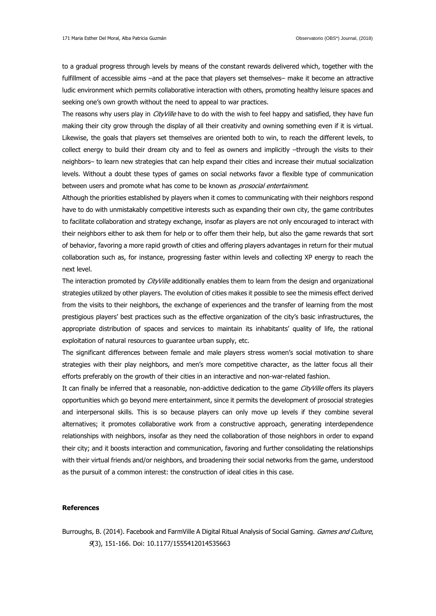to a gradual progress through levels by means of the constant rewards delivered which, together with the fulfillment of accessible aims –and at the pace that players set themselves– make it become an attractive ludic environment which permits collaborative interaction with others, promoting healthy leisure spaces and seeking one's own growth without the need to appeal to war practices.

The reasons why users play in *CityVille* have to do with the wish to feel happy and satisfied, they have fun making their city grow through the display of all their creativity and owning something even if it is virtual. Likewise, the goals that players set themselves are oriented both to win, to reach the different levels, to collect energy to build their dream city and to feel as owners and implicitly –through the visits to their neighbors– to learn new strategies that can help expand their cities and increase their mutual socialization levels. Without a doubt these types of games on social networks favor a flexible type of communication between users and promote what has come to be known as *prosocial entertainment*.

Although the priorities established by players when it comes to communicating with their neighbors respond have to do with unmistakably competitive interests such as expanding their own city, the game contributes to facilitate collaboration and strategy exchange, insofar as players are not only encouraged to interact with their neighbors either to ask them for help or to offer them their help, but also the game rewards that sort of behavior, favoring a more rapid growth of cities and offering players advantages in return for their mutual collaboration such as, for instance, progressing faster within levels and collecting XP energy to reach the next level.

The interaction promoted by CityVille additionally enables them to learn from the design and organizational strategies utilized by other players. The evolution of cities makes it possible to see the mimesis effect derived from the visits to their neighbors, the exchange of experiences and the transfer of learning from the most prestigious players' best practices such as the effective organization of the city's basic infrastructures, the appropriate distribution of spaces and services to maintain its inhabitants' quality of life, the rational exploitation of natural resources to guarantee urban supply, etc.

The significant differences between female and male players stress women's social motivation to share strategies with their play neighbors, and men's more competitive character, as the latter focus all their efforts preferably on the growth of their cities in an interactive and non-war-related fashion.

It can finally be inferred that a reasonable, non-addictive dedication to the game CityVille offers its players opportunities which go beyond mere entertainment, since it permits the development of prosocial strategies and interpersonal skills. This is so because players can only move up levels if they combine several alternatives; it promotes collaborative work from a constructive approach, generating interdependence relationships with neighbors, insofar as they need the collaboration of those neighbors in order to expand their city; and it boosts interaction and communication, favoring and further consolidating the relationships with their virtual friends and/or neighbors, and broadening their social networks from the game, understood as the pursuit of a common interest: the construction of ideal cities in this case.

## **References**

Burroughs, B. (2014). Facebook and FarmVille A Digital Ritual Analysis of Social Gaming. Games and Culture, 9(3), 151-166. Doi: 10.1177/1555412014535663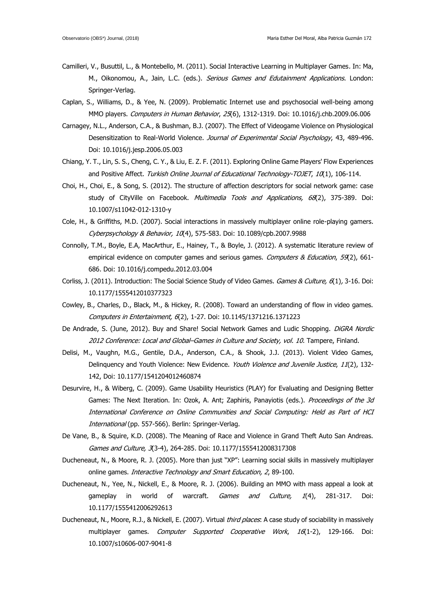- Camilleri, V., Busuttil, L., & Montebello, M. (2011). Social Interactive Learning in Multiplayer Games. In: Ma, M., Oikonomou, A., Jain, L.C. (eds.). Serious Games and Edutainment Applications. London: Springer-Verlag.
- Caplan, S., Williams, D., & Yee, N. (2009). Problematic Internet use and psychosocial well-being among MMO players. Computers in Human Behavior, 25(6), 1312-1319. Doi: 10.1016/j.chb.2009.06.006
- Carnagey, N.L., Anderson, C.A., & Bushman, B.J. (2007). The Effect of Videogame Violence on Physiological Desensitization to Real-World Violence. Journal of Experimental Social Psychology, 43, 489-496. Doi: 10.1016/j.jesp.2006.05.003
- Chiang, Y. T., Lin, S. S., Cheng, C. Y., & Liu, E. Z. F. (2011). Exploring Online Game Players' Flow Experiences and Positive Affect. Turkish Online Journal of Educational Technology-TOJET, 10(1), 106-114.
- Choi, H., Choi, E., & Song, S. (2012). The structure of affection descriptors for social network game: case study of CityVille on Facebook. Multimedia Tools and Applications, 68(2), 375-389. Doi: 10.1007/s11042-012-1310-y
- Cole, H., & Griffiths, M.D. (2007). Social interactions in massively multiplayer online role-playing gamers. Cyberpsychology & Behavior, 10(4), 575-583. Doi: 10.1089/cpb.2007.9988
- Connolly, T.M., Boyle, E.A, MacArthur, E., Hainey, T., & Boyle, J. (2012). A systematic literature review of empirical evidence on computer games and serious games. Computers & Education, 59(2), 661-686. Doi: 10.1016/j.compedu.2012.03.004
- Corliss, J. (2011). Introduction: The Social Science Study of Video Games. Games & Culture, 6(1), 3-16. Doi: 10.1177/1555412010377323
- Cowley, B., Charles, D., Black, M., & Hickey, R. (2008). Toward an understanding of flow in video games. Computers in Entertainment, 6(2), 1-27. Doi: 10.1145/1371216.1371223
- De Andrade, S. (June, 2012). Buy and Share! Social Network Games and Ludic Shopping. DiGRA Nordic 2012 Conference: Local and Global–Games in Culture and Society, vol. 10. Tampere, Finland.
- Delisi, M., Vaughn, M.G., Gentile, D.A., Anderson, C.A., & Shook, J.J. (2013). Violent Video Games, Delinquency and Youth Violence: New Evidence. Youth Violence and Juvenile Justice, 11(2), 132-142, Doi: 10.1177/1541204012460874
- Desurvire, H., & Wiberg, C. (2009). Game Usability Heuristics (PLAY) for Evaluating and Designing Better Games: The Next Iteration. In: Ozok, A. Ant; Zaphiris, Panayiotis (eds.). Proceedings of the 3d International Conference on Online Communities and Social Computing: Held as Part of HCI International (pp. 557-566). Berlin: Springer-Verlag.
- De Vane, B., & Squire, K.D. (2008). The Meaning of Race and Violence in Grand Theft Auto San Andreas. Games and Culture, 3(3-4), 264-285. Doi: 10.1177/1555412008317308
- Ducheneaut, N., & Moore, R. J. (2005). More than just "XP": Learning social skills in massively multiplayer online games. Interactive Technology and Smart Education, 2, 89-100.
- Ducheneaut, N., Yee, N., Nickell, E., & Moore, R. J. (2006). Building an MMO with mass appeal a look at gameplay in world of warcraft. Games and Culture, 1(4), 281-317. Doi: 10.1177/1555412006292613
- Ducheneaut, N., Moore, R.J., & Nickell, E. (2007). Virtual third places: A case study of sociability in massively multiplayer games. Computer Supported Cooperative Work, 16(1-2), 129-166. Doi: 10.1007/s10606-007-9041-8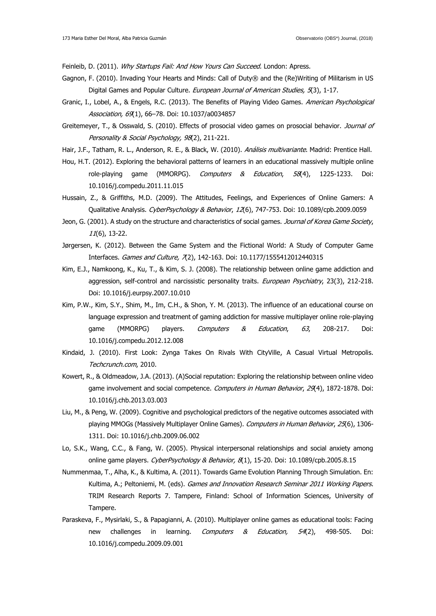Feinleib, D. (2011). Why Startups Fail: And How Yours Can Succeed. London: Apress.

- Gagnon, F. (2010). Invading Your Hearts and Minds: Call of Duty® and the (Re)Writing of Militarism in US Digital Games and Popular Culture. European Journal of American Studies, 5(3), 1-17.
- Granic, I., Lobel, A., & Engels, R.C. (2013). The Benefits of Playing Video Games. American Psychological Association, 69(1), 66–78. Doi: 10.1037/a0034857
- Greitemeyer, T., & Osswald, S. (2010). Effects of prosocial video games on prosocial behavior. Journal of Personality & Social Psychology, 98(2), 211-221.
- Hair, J.F., Tatham, R. L., Anderson, R. E., & Black, W. (2010). Análisis multivariante. Madrid: Prentice Hall.
- Hou, H.T. (2012). Exploring the behavioral patterns of learners in an educational massively multiple online role-playing game (MMORPG). *Computers & Education*, 58(4), 1225-1233. Doi: 10.1016/j.compedu.2011.11.015
- Hussain, Z., & Griffiths, M.D. (2009). The Attitudes, Feelings, and Experiences of Online Gamers: A Qualitative Analysis. CyberPsychology & Behavior, 12(6), 747-753. Doi: 10.1089/cpb.2009.0059
- Jeon, G. (2001). A study on the structure and characteristics of social games. Journal of Korea Game Society, 11(6), 13-22.
- Jørgersen, K. (2012). Between the Game System and the Fictional World: A Study of Computer Game Interfaces. Games and Culture, 7(2), 142-163. Doi: 10.1177/1555412012440315
- Kim, E.J., Namkoong, K., Ku, T., & Kim, S. J. (2008). The relationship between online game addiction and aggression, self-control and narcissistic personality traits. European Psychiatry, 23(3), 212-218. Doi: 10.1016/j.eurpsy.2007.10.010
- Kim, P.W., Kim, S.Y., Shim, M., Im, C.H., & Shon, Y. M. (2013). The influence of an educational course on language expression and treatment of gaming addiction for massive multiplayer online role-playing game (MMORPG) players. *Computers & Education*, 63, 208-217. Doi: 10.1016/j.compedu.2012.12.008
- Kindaid, J. (2010). First Look: Zynga Takes On Rivals With CityVille, A Casual Virtual Metropolis. Techcrunch.com, 2010.
- Kowert, R., & Oldmeadow, J.A. (2013). (A)Social reputation: Exploring the relationship between online video game involvement and social competence. Computers in Human Behavior, 29(4), 1872-1878. Doi: [10.1016/j.chb.2013.03.003](http://dx.doi.org/10.1016/j.chb.2013.03.003)
- Liu, M., & Peng, W. (2009). Cognitive and psychological predictors of the negative outcomes associated with playing MMOGs (Massively Multiplayer Online Games). Computers in Human Behavior, 25(6), 1306-1311. Doi: 10.1016/j.chb.2009.06.002
- Lo, S.K., Wang, C.C., & Fang, W. (2005). Physical interpersonal relationships and social anxiety among online game players. CyberPsychology & Behavior, 8(1), 15-20. Doi: 10.1089/cpb.2005.8.15
- Nummenmaa, T., Alha, K., & Kultima, A. (2011). Towards Game Evolution Planning Through Simulation. En: Kultima, A.; Peltoniemi, M. (eds). Games and Innovation Research Seminar 2011 Working Papers. TRIM Research Reports 7. Tampere, Finland: School of Information Sciences, University of Tampere.
- Paraskeva, F., Mysirlaki, S., & Papagianni, A. (2010). Multiplayer online games as educational tools: Facing new challenges in learning. Computers & Education, 54(2), 498-505. Doi: 10.1016/j.compedu.2009.09.001